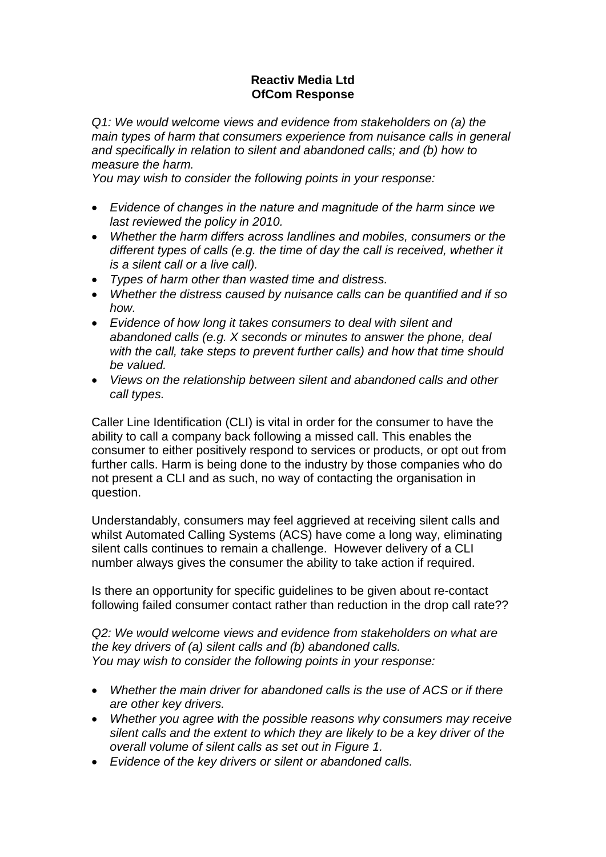## **Reactiv Media Ltd OfCom Response**

*Q1: We would welcome views and evidence from stakeholders on (a) the main types of harm that consumers experience from nuisance calls in general and specifically in relation to silent and abandoned calls; and (b) how to measure the harm.*

*You may wish to consider the following points in your response:*

- *Evidence of changes in the nature and magnitude of the harm since we last reviewed the policy in 2010.*
- *Whether the harm differs across landlines and mobiles, consumers or the different types of calls (e.g. the time of day the call is received, whether it is a silent call or a live call).*
- *Types of harm other than wasted time and distress.*
- *Whether the distress caused by nuisance calls can be quantified and if so how.*
- *Evidence of how long it takes consumers to deal with silent and abandoned calls (e.g. X seconds or minutes to answer the phone, deal with the call, take steps to prevent further calls) and how that time should be valued.*
- *Views on the relationship between silent and abandoned calls and other call types.*

Caller Line Identification (CLI) is vital in order for the consumer to have the ability to call a company back following a missed call. This enables the consumer to either positively respond to services or products, or opt out from further calls. Harm is being done to the industry by those companies who do not present a CLI and as such, no way of contacting the organisation in question.

Understandably, consumers may feel aggrieved at receiving silent calls and whilst Automated Calling Systems (ACS) have come a long way, eliminating silent calls continues to remain a challenge. However delivery of a CLI number always gives the consumer the ability to take action if required.

Is there an opportunity for specific guidelines to be given about re-contact following failed consumer contact rather than reduction in the drop call rate??

*Q2: We would welcome views and evidence from stakeholders on what are the key drivers of (a) silent calls and (b) abandoned calls. You may wish to consider the following points in your response:*

- *Whether the main driver for abandoned calls is the use of ACS or if there are other key drivers.*
- *Whether you agree with the possible reasons why consumers may receive silent calls and the extent to which they are likely to be a key driver of the overall volume of silent calls as set out in Figure 1.*
- *Evidence of the key drivers or silent or abandoned calls.*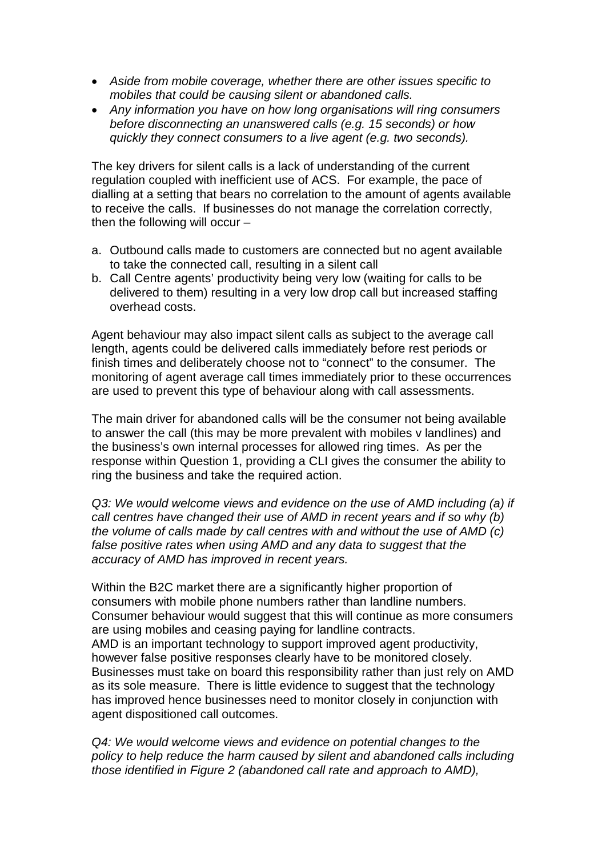- *Aside from mobile coverage, whether there are other issues specific to mobiles that could be causing silent or abandoned calls.*
- *Any information you have on how long organisations will ring consumers before disconnecting an unanswered calls (e.g. 15 seconds) or how quickly they connect consumers to a live agent (e.g. two seconds).*

The key drivers for silent calls is a lack of understanding of the current regulation coupled with inefficient use of ACS. For example, the pace of dialling at a setting that bears no correlation to the amount of agents available to receive the calls. If businesses do not manage the correlation correctly, then the following will occur –

- a. Outbound calls made to customers are connected but no agent available to take the connected call, resulting in a silent call
- b. Call Centre agents' productivity being very low (waiting for calls to be delivered to them) resulting in a very low drop call but increased staffing overhead costs.

Agent behaviour may also impact silent calls as subject to the average call length, agents could be delivered calls immediately before rest periods or finish times and deliberately choose not to "connect" to the consumer. The monitoring of agent average call times immediately prior to these occurrences are used to prevent this type of behaviour along with call assessments.

The main driver for abandoned calls will be the consumer not being available to answer the call (this may be more prevalent with mobiles v landlines) and the business's own internal processes for allowed ring times. As per the response within Question 1, providing a CLI gives the consumer the ability to ring the business and take the required action.

*Q3: We would welcome views and evidence on the use of AMD including (a) if call centres have changed their use of AMD in recent years and if so why (b) the volume of calls made by call centres with and without the use of AMD (c) false positive rates when using AMD and any data to suggest that the accuracy of AMD has improved in recent years.*

Within the B2C market there are a significantly higher proportion of consumers with mobile phone numbers rather than landline numbers. Consumer behaviour would suggest that this will continue as more consumers are using mobiles and ceasing paying for landline contracts. AMD is an important technology to support improved agent productivity, however false positive responses clearly have to be monitored closely. Businesses must take on board this responsibility rather than just rely on AMD as its sole measure. There is little evidence to suggest that the technology has improved hence businesses need to monitor closely in conjunction with agent dispositioned call outcomes.

*Q4: We would welcome views and evidence on potential changes to the policy to help reduce the harm caused by silent and abandoned calls including those identified in Figure 2 (abandoned call rate and approach to AMD),*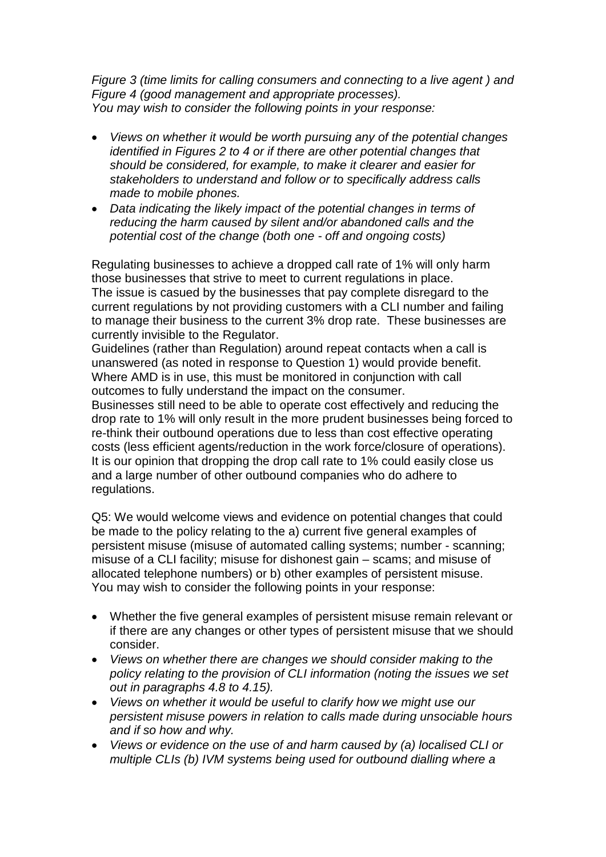*Figure 3 (time limits for calling consumers and connecting to a live agent ) and Figure 4 (good management and appropriate processes). You may wish to consider the following points in your response:*

- *Views on whether it would be worth pursuing any of the potential changes identified in Figures 2 to 4 or if there are other potential changes that should be considered, for example, to make it clearer and easier for stakeholders to understand and follow or to specifically address calls made to mobile phones.*
- *Data indicating the likely impact of the potential changes in terms of reducing the harm caused by silent and/or abandoned calls and the potential cost of the change (both one - off and ongoing costs)*

Regulating businesses to achieve a dropped call rate of 1% will only harm those businesses that strive to meet to current regulations in place. The issue is casued by the businesses that pay complete disregard to the current regulations by not providing customers with a CLI number and failing to manage their business to the current 3% drop rate. These businesses are currently invisible to the Regulator.

Guidelines (rather than Regulation) around repeat contacts when a call is unanswered (as noted in response to Question 1) would provide benefit. Where AMD is in use, this must be monitored in conjunction with call outcomes to fully understand the impact on the consumer. Businesses still need to be able to operate cost effectively and reducing the drop rate to 1% will only result in the more prudent businesses being forced to re-think their outbound operations due to less than cost effective operating costs (less efficient agents/reduction in the work force/closure of operations). It is our opinion that dropping the drop call rate to 1% could easily close us and a large number of other outbound companies who do adhere to regulations.

Q5: We would welcome views and evidence on potential changes that could be made to the policy relating to the a) current five general examples of persistent misuse (misuse of automated calling systems; number - scanning; misuse of a CLI facility; misuse for dishonest gain – scams; and misuse of allocated telephone numbers) or b) other examples of persistent misuse. You may wish to consider the following points in your response:

- Whether the five general examples of persistent misuse remain relevant or if there are any changes or other types of persistent misuse that we should consider.
- *Views on whether there are changes we should consider making to the policy relating to the provision of CLI information (noting the issues we set out in paragraphs 4.8 to 4.15).*
- *Views on whether it would be useful to clarify how we might use our persistent misuse powers in relation to calls made during unsociable hours and if so how and why.*
- *Views or evidence on the use of and harm caused by (a) localised CLI or multiple CLIs (b) IVM systems being used for outbound dialling where a*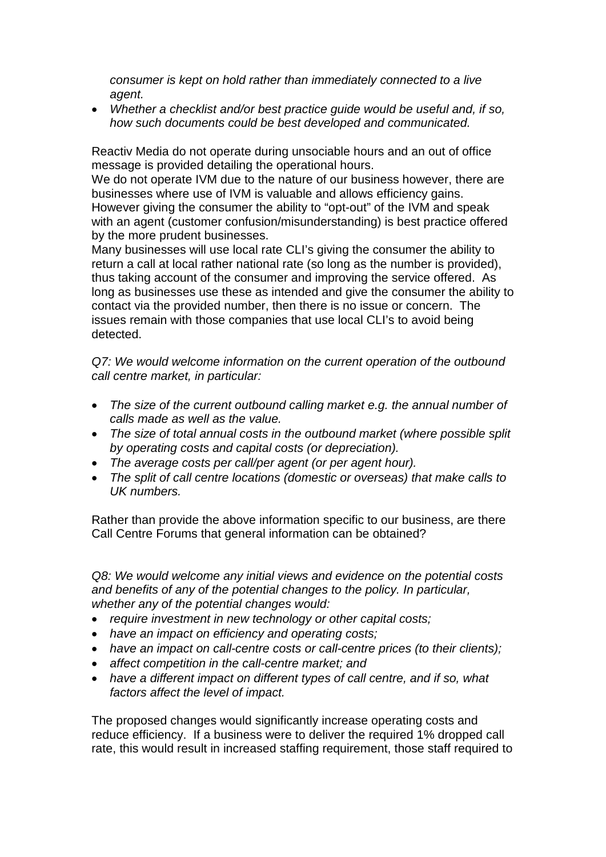*consumer is kept on hold rather than immediately connected to a live agent.*

• *Whether a checklist and/or best practice guide would be useful and, if so, how such documents could be best developed and communicated.*

Reactiv Media do not operate during unsociable hours and an out of office message is provided detailing the operational hours.

We do not operate IVM due to the nature of our business however, there are businesses where use of IVM is valuable and allows efficiency gains. However giving the consumer the ability to "opt-out" of the IVM and speak with an agent (customer confusion/misunderstanding) is best practice offered by the more prudent businesses.

Many businesses will use local rate CLI's giving the consumer the ability to return a call at local rather national rate (so long as the number is provided), thus taking account of the consumer and improving the service offered. As long as businesses use these as intended and give the consumer the ability to contact via the provided number, then there is no issue or concern. The issues remain with those companies that use local CLI's to avoid being detected.

*Q7: We would welcome information on the current operation of the outbound call centre market, in particular:*

- *The size of the current outbound calling market e.g. the annual number of calls made as well as the value.*
- *The size of total annual costs in the outbound market (where possible split by operating costs and capital costs (or depreciation).*
- *The average costs per call/per agent (or per agent hour).*
- *The split of call centre locations (domestic or overseas) that make calls to UK numbers.*

Rather than provide the above information specific to our business, are there Call Centre Forums that general information can be obtained?

*Q8: We would welcome any initial views and evidence on the potential costs and benefits of any of the potential changes to the policy. In particular, whether any of the potential changes would:*

- *require investment in new technology or other capital costs;*
- *have an impact on efficiency and operating costs;*
- *have an impact on call-centre costs or call-centre prices (to their clients);*
- *affect competition in the call-centre market; and*
- *have a different impact on different types of call centre, and if so, what factors affect the level of impact.*

The proposed changes would significantly increase operating costs and reduce efficiency. If a business were to deliver the required 1% dropped call rate, this would result in increased staffing requirement, those staff required to